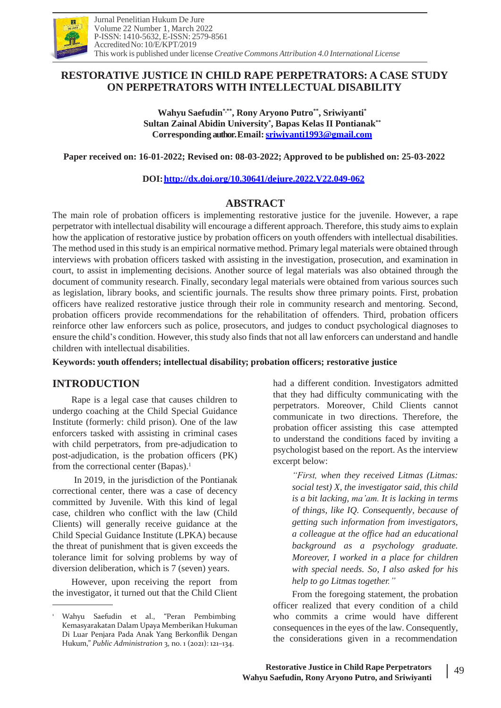

# **RESTORATIVE JUSTICE IN CHILD RAPE PERPETRATORS: A CASE STUDY ON PERPETRATORS WITH INTELLECTUAL DISABILITY**

**Wahyu Saefudin\*,\*\* , Rony Aryono Putro\*\* , Sriwiyanti\* Sultan Zainal Abidin University\* , Bapas Kelas II Pontianak\*\* Corresponding author. Email:[sriwiyanti1993@gmail.com](mailto:sriwiyanti1993@gmail.com)**

**Paper received on: 16-01-2022; Revised on: 08-03-2022; Approved to be published on: 25-03-2022**

**DOI[:http://dx.doi.org/10.30641/dejure.2022.V22.049-062](http://dx.doi.org/10.30641/dejure.2022.V22.049-062)**

# **ABSTRACT**

The main role of probation officers is implementing restorative justice for the juvenile. However, a rape perpetrator with intellectual disability will encourage a different approach. Therefore, thisstudy aimsto explain how the application of restorative justice by probation officers on youth offenders with intellectual disabilities. The method used in thisstudy is an empirical normative method. Primary legal materials were obtained through interviews with probation officers tasked with assisting in the investigation, prosecution, and examination in court, to assist in implementing decisions. Another source of legal materials was also obtained through the document of community research. Finally, secondary legal materials were obtained from various sources such as legislation, library books, and scientific journals. The results show three primary points. First, probation officers have realized restorative justice through their role in community research and mentoring. Second, probation officers provide recommendations for the rehabilitation of offenders. Third, probation officers reinforce other law enforcers such as police, prosecutors, and judges to conduct psychological diagnoses to ensure the child's condition. However, this study also finds that not all law enforcers can understand and handle children with intellectual disabilities.

**Keywords: youth offenders; intellectual disability; probation officers; restorative justice**

# **INTRODUCTION**

Rape is a legal case that causes children to undergo coaching at the Child Special Guidance Institute (formerly: child prison). One of the law enforcers tasked with assisting in criminal cases with child perpetrators, from pre-adjudication to post-adjudication, is the probation officers (PK) from the correctional center (Bapas).<sup>1</sup>

In 2019, in the jurisdiction of the Pontianak correctional center, there was a case of decency committed by Juvenile. With this kind of legal case, children who conflict with the law (Child Clients) will generally receive guidance at the Child Special Guidance Institute (LPKA) because the threat of punishment that is given exceeds the tolerance limit for solving problems by way of diversion deliberation, which is 7 (seven) years.

However, upon receiving the report from the investigator, it turned out that the Child Client

had a different condition. Investigators admitted that they had difficulty communicating with the perpetrators. Moreover, Child Clients cannot communicate in two directions. Therefore, the probation officer assisting this case attempted to understand the conditions faced by inviting a psychologist based on the report. As the interview excerpt below:

> *"First, when they received Litmas (Litmas: social test) X, the investigator said, this child is a bit lacking, ma'am. It is lacking in terms of things, like IQ. Consequently, because of getting such information from investigators, a colleague at the office had an educational background as a psychology graduate. Moreover, I worked in a place for children with special needs. So, I also asked for his help to go Litmas together."*

From the foregoing statement, the probation officer realized that every condition of a child who commits a crime would have different consequences in the eyes of the law. Consequently, the considerations given in a recommendation

<sup>1</sup> Wahyu Saefudin et al., "Peran Pembimbing Kemasyarakatan Dalam Upaya Memberikan Hukuman Di Luar Penjara Pada Anak Yang Berkonflik Dengan Hukum," *Public Administration* 3, no. 1 (2021): 121–134.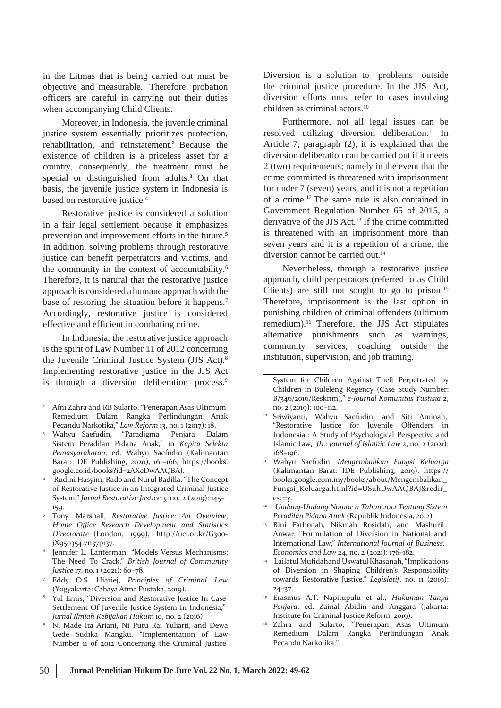in the Litmas that is being carried out must be objective and measurable. Therefore, probation officers are careful in carrying out their duties when accompanying Child Clients.

Moreover, in Indonesia, the juvenile criminal justice system essentially prioritizes protection, rehabilitation, and reinstatement.**<sup>2</sup>** Because the existence of children is a priceless asset for a country, consequently, the treatment must be special or distinguished from adults.**<sup>3</sup>** On that basis, the juvenile justice system in Indonesia is based on restorative justice.<sup>4</sup>

Restorative justice is considered a solution in a fair legal settlement because it emphasizes prevention and improvement efforts in the future.**<sup>5</sup>** In addition, solving problems through restorative justice can benefit perpetrators and victims, and the community in the context of accountability.<sup>6</sup> Therefore, it is natural that the restorative justice approach is considered a humane approach with the base of restoring the situation before it happens.<sup>7</sup> Accordingly, restorative justice is considered effective and efficient in combating crime.

In Indonesia, the restorative justice approach is the spirit of Law Number 11 of 2012 concerning the Juvenile Criminal Justice System (JJS Act).**<sup>8</sup>** Implementing restorative justice in the JJS Act is through a diversion deliberation process.<sup>9</sup>

Diversion is a solution to problems outside the criminal justice procedure. In the JJS Act, diversion efforts must refer to cases involving children as criminal actors.<sup>10</sup>

Furthermore, not all legal issues can be resolved utilizing diversion deliberation.<sup>11</sup> In Article 7, paragraph (2), it is explained that the diversion deliberation can be carried out if it meets 2 (two) requirements; namely in the event that the crime committed is threatened with imprisonment for under 7 (seven) years, and it is not a repetition of a crime.<sup>12</sup> The same rule is also contained in Government Regulation Number 65 of 2015, a derivative of the JJS Act.<sup>13</sup> If the crime committed is threatened with an imprisonment more than seven years and it is a repetition of a crime, the diversion cannot be carried out.<sup>14</sup>

Nevertheless, through a restorative justice approach, child perpetrators (referred to as Child Clients) are still not sought to go to prison.<sup>15</sup> Therefore, imprisonment is the last option in punishing children of criminal offenders (ultimum remedium).<sup>16</sup> Therefore, the JJS Act stipulates alternative punishments such as warnings, community services, coaching outside the institution, supervision, and job training.

<sup>&</sup>lt;sup>2</sup> Afni Zahra and RB Sularto, "Penerapan Asas Ultimum Remedium Dalam Rangka Perlindungan Anak Pecandu Narkotika," *Law Reform* 13, no. 1 (2017): 18.

Wahyu Saefudin, "Paradigma Penjara Dalam Sistem Peradilan Pidana Anak," in *Kapita Selekta Pemasyarakatan*, ed. Wahyu Saefudin (Kalimantan Barat: IDE Publishing, 2020), 161–166, https://books. google.co.id/books?id=2AXeDwAAQBAJ. 3

Rudini Hasyim; Rado and Nurul Badilla, "The Concept of Restorative Justice in an Integrated Criminal Justice System," *Jurnal Restorative Justice* 3, no. 2 (2019): 145– 159. 4

Tony Marshall, *Restorative Justice: An Overview*, 5 *Home Office Research Development and Statistics Directorate* (London, 1999), [http://uci.or.kr/G300](http://uci.or.kr/G300-) jX950354.vn37p137.

Jennifer L. Lanterman, "Models Versus Mechanisms: The Need To Crack," *British Journal of Community Justice* 17, no. 1 (2021): 60–78. 6

<sup>7</sup> Eddy O.S. Hiariej, *Principles of Criminal Law* (Yogyakarta: Cahaya Atma Pustaka, 2019).

<sup>&</sup>lt;sup>8</sup> Yul Ernis, "Diversion and Restorative Justice In Case Settlement Of Juvenile Justice System In Indonesia," *Jurnal Ilmiah Kebijakan Hukum* 10, no. 2 (2016).

<sup>&</sup>lt;sup>9</sup> Ni Made Ita Ariani, Ni Putu Rai Yuliarti, and Dewa Gede Sudika Mangku, "Implementation of Law Number 11 of 2012 Concerning the Criminal Justice

System for Children Against Theft Perpetrated by Children in Buleleng Regency (Case Study Number: B/346/2016/Reskrim)," *e-Journal Komunitas Yustisia* 2, no. 2 (2019): 100–112.

<sup>10</sup> Sriwiyanti, Wahyu Saefudin, and Siti Aminah, "Restorative Justice for Juvenile Offenders in Indonesia : A Study of Psychological Perspective and Islamic Law," *JIL: Journal of Islamic Law* 2, no. 2 (2021): 168–196.

Wahyu Saefudin, *Mengembalikan Fungsi Keluarga* (Kalimantan Barat: IDE Publishing, 2019), https:// books.google.com.my/books/about/Mengembalikan\_ Fungsi\_Keluarga.html?id=USuhDwAAQBAJ&redir\_ esc=y. 11

*Undang-Undang Nomor 11 Tahun 2012 Tentang Sistem* 12 *Peradilan Pidana Anak* (Republik Indonesia, 2012).

Rini Fathonah, Nikmah Rosidah, and Mashuril. Anwar, "Formulation of Diversion in National and International Law," *International Journal of Business, Economics and Law* 24, no. 2 (2021): 176–182. 13

<sup>14</sup> Lailatul Mufidahand Uswatul Khasanah, "Implications of Diversion in Shaping Children's Responsibility towards Restorative Justice," *Legislatif*, no. 11 (2019): 24–37.

Erasmus A.T. Napitupulu et al., *Hukuman Tanpa Penjara*, ed. Zainal Abidin and Anggara (Jakarta: Institute for Criminal Justice Reform, 2019).

Zahra and Sularto, "Penerapan Asas Ultimum Remedium Dalam Rangka Perlindungan Anak Pecandu Narkotika."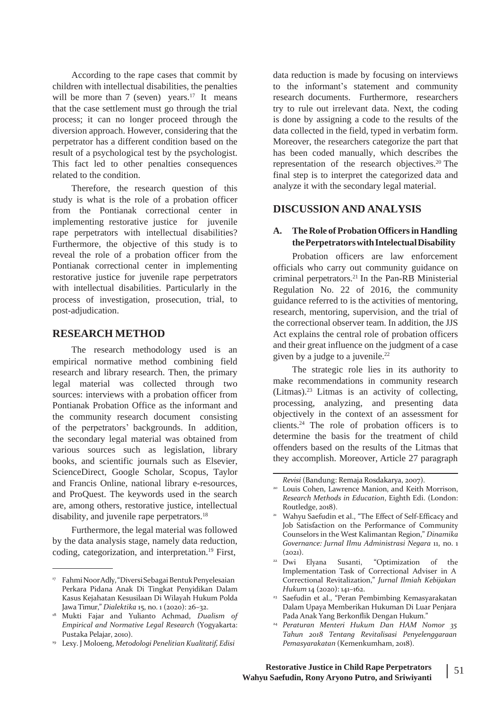According to the rape cases that commit by children with intellectual disabilities, the penalties will be more than 7 (seven) vears.<sup>17</sup> It means that the case settlement must go through the trial process; it can no longer proceed through the diversion approach. However, considering that the perpetrator has a different condition based on the result of a psychological test by the psychologist. This fact led to other penalties consequences related to the condition.

Therefore, the research question of this study is what is the role of a probation officer from the Pontianak correctional center in implementing restorative justice for juvenile rape perpetrators with intellectual disabilities? Furthermore, the objective of this study is to reveal the role of a probation officer from the Pontianak correctional center in implementing restorative justice for juvenile rape perpetrators with intellectual disabilities. Particularly in the process of investigation, prosecution, trial, to post-adjudication.

### **RESEARCH METHOD**

The research methodology used is an empirical normative method combining field research and library research. Then, the primary legal material was collected through two sources: interviews with a probation officer from Pontianak Probation Office as the informant and the community research document consisting of the perpetrators' backgrounds. In addition, the secondary legal material was obtained from various sources such as legislation, library books, and scientific journals such as Elsevier, ScienceDirect, Google Scholar, Scopus, Taylor and Francis Online, national library e-resources, and ProQuest. The keywords used in the search are, among others, restorative justice, intellectual disability, and juvenile rape perpetrators.<sup>18</sup>

Furthermore, the legal material was followed by the data analysis stage, namely data reduction, coding, categorization, and interpretation.<sup>19</sup> First,

data reduction is made by focusing on interviews to the informant's statement and community research documents. Furthermore, researchers try to rule out irrelevant data. Next, the coding is done by assigning a code to the results of the data collected in the field, typed in verbatim form. Moreover, the researchers categorize the part that has been coded manually, which describes the representation of the research objectives.<sup>20</sup> The final step is to interpret the categorized data and analyze it with the secondary legal material.

## **DISCUSSION AND ANALYSIS**

### **A. The Role of ProbationOfficersinHandling thePerpetratorswithIntelectualDisability**

Probation officers are law enforcement officials who carry out community guidance on criminal perpetrators.<sup>21</sup> In the Pan-RB Ministerial Regulation No. 22 of 2016, the community guidance referred to is the activities of mentoring, research, mentoring, supervision, and the trial of the correctional observer team. In addition, the JJS Act explains the central role of probation officers and their great influence on the judgment of a case given by a judge to a juvenile.<sup>22</sup>

The strategic role lies in its authority to make recommendations in community research (Litmas).<sup>23</sup> Litmas is an activity of collecting, processing, analyzing, and presenting data objectively in the context of an assessment for clients.<sup>24</sup> The role of probation officers is to determine the basis for the treatment of child offenders based on the results of the Litmas that they accomplish. Moreover, Article 27 paragraph

- <sup>22</sup> Dwi Elyana Susanti, "Optimization of the Implementation Task of Correctional Adviser in A Correctional Revitalization," *Jurnal Ilmiah Kebijakan Hukum* 14 (2020): 141–162.
- <sup>23</sup> Saefudin et al., "Peran Pembimbing Kemasyarakatan Dalam Upaya Memberikan Hukuman Di Luar Penjara Pada Anak Yang Berkonflik Dengan Hukum."
- *Peraturan Menteri Hukum Dan HAM Nomor 35* 24 *Tahun 2018 Tentang Revitalisasi Penyelenggaraan Pemasyarakatan* (Kemenkumham, 2018).

<sup>&</sup>lt;sup>17</sup> Fahmi Noor Adly, "Diversi Sebagai Bentuk Penyelesaian Perkara Pidana Anak Di Tingkat Penyidikan Dalam Kasus Kejahatan Kesusilaan Di Wilayah Hukum Polda Jawa Timur," *Dialektika* 15, no. 1 (2020): 26–32.

Mukti Fajar and Yulianto Achmad, *Dualism of* 18 *Empirical and Normative Legal Research* (Yogyakarta: Pustaka Pelajar, 2010).

Lexy. J Moloeng, *Metodologi Penelitian Kualitatif, Edisi* 19

*Revisi* (Bandung: Remaja Rosdakarya, 2007).

<sup>&</sup>lt;sup>20</sup> Louis Cohen, Lawrence Manion, and Keith Morrison, *Research Methods in Education*, Eighth Edi. (London: Routledge, 2018).

<sup>&</sup>lt;sup>21</sup> Wahyu Saefudin et al., "The Effect of Self-Efficacy and Job Satisfaction on the Performance of Community Counselors in the West Kalimantan Region," *Dinamika Governance: Jurnal Ilmu Administrasi Negara* 11, no. 1  $(2021)$ .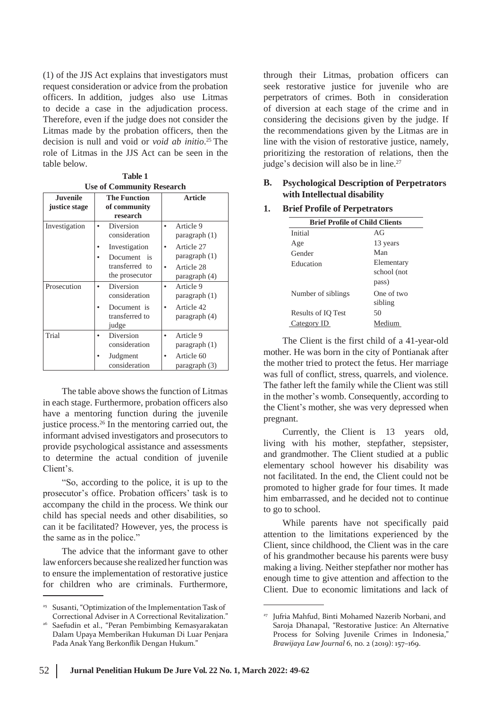(1) of the JJS Act explains that investigators must request consideration or advice from the probation officers. In addition, judges also use Litmas to decide a case in the adjudication process. Therefore, even if the judge does not consider the Litmas made by the probation officers, then the decision is null and void or *void ab initio*. <sup>25</sup> The role of Litmas in the JJS Act can be seen in the table below.

**Table 1 Use of Community Research**

| <b>Juvenile</b> | <b>The Function</b>                                                                                   | <b>Article</b>                                                                          |
|-----------------|-------------------------------------------------------------------------------------------------------|-----------------------------------------------------------------------------------------|
| justice stage   | of community<br>research                                                                              |                                                                                         |
| Investigation   | Diversion<br>consideration<br>Investigation<br>Document<br>$-$ is<br>transferred to<br>the prosecutor | Article 9<br>paragraph (1)<br>Article 27<br>$\frac{1}{2}$ paragraph $(1)$<br>Article 28 |
| Prosecution     | Diversion<br>consideration<br>Document is<br>transferred to<br>judge                                  | paragraph (4)<br>Article 9<br>$\bullet$<br>paragnh(1)<br>Article 42<br>paragraph (4)    |
| Trial           | Diversion<br>consideration<br>Judgment<br>consideration                                               | Article 9<br>paragraph (1)<br>Article 60<br>paragraph (3)                               |

The table above shows the function of Litmas in each stage. Furthermore, probation officers also have a mentoring function during the juvenile justice process.<sup>26</sup> In the mentoring carried out, the informant advised investigators and prosecutors to provide psychological assistance and assessments to determine the actual condition of juvenile Client's.

"So, according to the police, it is up to the prosecutor's office. Probation officers' task is to accompany the child in the process. We think our child has special needs and other disabilities, so can it be facilitated? However, yes, the process is the same as in the police."

The advice that the informant gave to other law enforcers because she realized her function was to ensure the implementation of restorative justice for children who are criminals. Furthermore,

through their Litmas, probation officers can seek restorative justice for juvenile who are perpetrators of crimes. Both in consideration of diversion at each stage of the crime and in considering the decisions given by the judge. If the recommendations given by the Litmas are in line with the vision of restorative justice, namely, prioritizing the restoration of relations, then the judge's decision will also be in line.<sup>27</sup>

## **B. Psychological Description of Perpetrators with Intellectual disability**

**1. Brief Profile of Perpetrators**

| <b>Brief Profile of Child Clients</b> |             |  |
|---------------------------------------|-------------|--|
| Initial                               | AG          |  |
| Age                                   | 13 years    |  |
| Gender                                | Man         |  |
| Education                             | Elementary  |  |
|                                       | school (not |  |
|                                       | pass)       |  |
| Number of siblings                    | One of two  |  |
|                                       | sibling     |  |
| <b>Results of IO Test</b>             | 50          |  |
| Category ID                           | Medium      |  |
|                                       |             |  |

The Client is the first child of a 41-year-old mother. He was born in the city of Pontianak after the mother tried to protect the fetus. Her marriage was full of conflict, stress, quarrels, and violence. The father left the family while the Client was still in the mother's womb. Consequently, according to the Client's mother, she was very depressed when pregnant.

Currently, the Client is 13 years old, living with his mother, stepfather, stepsister, and grandmother. The Client studied at a public elementary school however his disability was not facilitated. In the end, the Client could not be promoted to higher grade for four times. It made him embarrassed, and he decided not to continue to go to school.

While parents have not specifically paid attention to the limitations experienced by the Client, since childhood, the Client was in the care of his grandmother because his parents were busy making a living. Neither stepfather nor mother has enough time to give attention and affection to the Client. Due to economic limitations and lack of

<sup>&</sup>lt;sup>25</sup> Susanti, "Optimization of the Implementation Task of Correctional Adviser in A Correctional Revitalization."

Saefudin et al., "Peran Pembimbing Kemasyarakatan Dalam Upaya Memberikan Hukuman Di Luar Penjara Pada Anak Yang Berkonflik Dengan Hukum." 26

<sup>27</sup> Jufria Mahfud, Binti Mohamed Nazerib Norbani, and Saroja Dhanapal, "Restorative Justice: An Alternative Process for Solving Juvenile Crimes in Indonesia," *Brawijaya Law Journal* 6, no. 2 (2019): 157–169.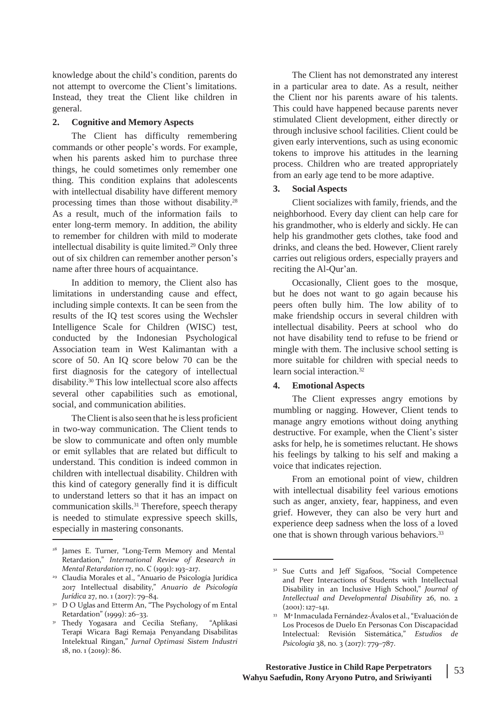knowledge about the child's condition, parents do not attempt to overcome the Client's limitations. Instead, they treat the Client like children in general.

### **2. Cognitive and Memory Aspects**

The Client has difficulty remembering commands or other people's words. For example, when his parents asked him to purchase three things, he could sometimes only remember one thing. This condition explains that adolescents with intellectual disability have different memory processing times than those without disability.<sup>28</sup> As a result, much of the information fails to enter long-term memory. In addition, the ability to remember for children with mild to moderate intellectual disability is quite limited.<sup>29</sup> Only three out of six children can remember another person's name after three hours of acquaintance.

In addition to memory, the Client also has limitations in understanding cause and effect, including simple contexts. It can be seen from the results of the IQ test scores using the Wechsler Intelligence Scale for Children (WISC) test, conducted by the Indonesian Psychological Association team in West Kalimantan with a score of 50. An IQ score below 70 can be the first diagnosis for the category of intellectual disability.<sup>30</sup> This low intellectual score also affects several other capabilities such as emotional, social, and communication abilities.

The Client is also seen that he is less proficient in two-way communication. The Client tends to be slow to communicate and often only mumble or emit syllables that are related but difficult to understand. This condition is indeed common in children with intellectual disability. Children with this kind of category generally find it is difficult to understand letters so that it has an impact on communication skills.<sup>31</sup> Therefore, speech therapy is needed to stimulate expressive speech skills, especially in mastering consonants.

The Client has not demonstrated any interest in a particular area to date. As a result, neither the Client nor his parents aware of his talents. This could have happened because parents never stimulated Client development, either directly or through inclusive school facilities. Client could be given early interventions, such as using economic tokens to improve his attitudes in the learning process. Children who are treated appropriately from an early age tend to be more adaptive.

### **3. Social Aspects**

Client socializes with family, friends, and the neighborhood. Every day client can help care for his grandmother, who is elderly and sickly. He can help his grandmother gets clothes, take food and drinks, and cleans the bed. However, Client rarely carries out religious orders, especially prayers and reciting the Al-Qur'an.

Occasionally, Client goes to the mosque, but he does not want to go again because his peers often bully him. The low ability of to make friendship occurs in several children with intellectual disability. Peers at school who do not have disability tend to refuse to be friend or mingle with them. The inclusive school setting is more suitable for children with special needs to learn social interaction.<sup>32</sup>

#### **4. Emotional Aspects**

The Client expresses angry emotions by mumbling or nagging. However, Client tends to manage angry emotions without doing anything destructive. For example, when the Client's sister asks for help, he is sometimes reluctant. He shows his feelings by talking to his self and making a voice that indicates rejection.

From an emotional point of view, children with intellectual disability feel various emotions such as anger, anxiety, fear, happiness, and even grief. However, they can also be very hurt and experience deep sadness when the loss of a loved one that is shown through various behaviors.<sup>33</sup>

James E. Turner, "Long-Term Memory and Mental Retardation," *International Review of Research in Mental Retardation* 17, no. C (1991): 193–217.

Claudia Morales et al., "Anuario de Psicología Jurídica 29 2017 Intellectual disability," *Anuario de Psicología Jurídica* 27, no. 1 (2017): 79–84.

<sup>&</sup>lt;sup>30</sup> D O Uglas and Etterm An, "The Psychology of m Ental Retardation" (1999): 26–33.

<sup>&</sup>lt;sup>31</sup> Thedy Yogasara and Cecilia Stefiany, "Aplikasi Terapi Wicara Bagi Remaja Penyandang Disabilitas Intelektual Ringan," *Jurnal Optimasi Sistem Industri* 18, no. 1 (2019): 86.

<sup>&</sup>lt;sup>32</sup> Sue Cutts and Jeff Sigafoos, "Social Competence and Peer Interactions of Students with Intellectual Disability in an Inclusive High School," *Journal of Intellectual and Developmental Disability* 26, no. 2  $(2001): 127-141.$ 

<sup>&</sup>lt;sup>33</sup> Mª Inmaculada Fernández-Ávalos et al., "Evaluación de Los Procesos de Duelo En Personas Con Discapacidad Intelectual: Revisión Sistemática," *Estudios de Psicologia* 38, no. 3 (2017): 779–787.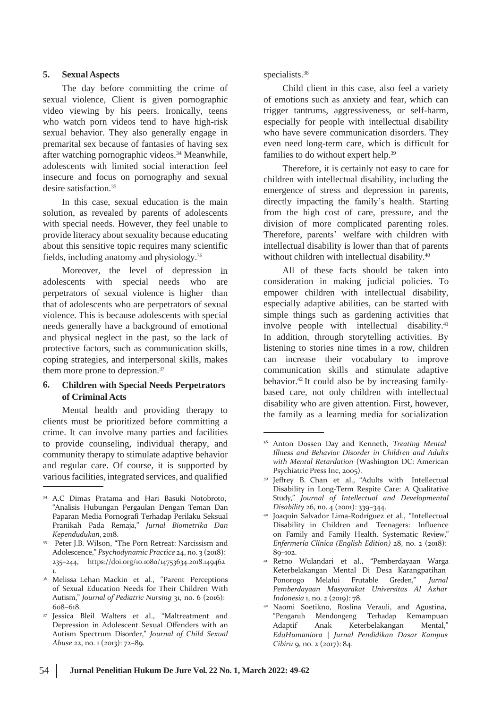### **5. Sexual Aspects**

The day before committing the crime of sexual violence, Client is given pornographic video viewing by his peers. Ironically, teens who watch porn videos tend to have high-risk sexual behavior. They also generally engage in premarital sex because of fantasies of having sex after watching pornographic videos.<sup>34</sup> Meanwhile, adolescents with limited social interaction feel insecure and focus on pornography and sexual desire satisfaction.<sup>35</sup>

In this case, sexual education is the main solution, as revealed by parents of adolescents with special needs. However, they feel unable to provide literacy about sexuality because educating about this sensitive topic requires many scientific fields, including anatomy and physiology.<sup>36</sup>

Moreover, the level of depression in adolescents with special needs who are perpetrators of sexual violence is higher than that of adolescents who are perpetrators of sexual violence. This is because adolescents with special needs generally have a background of emotional and physical neglect in the past, so the lack of protective factors, such as communication skills, coping strategies, and interpersonal skills, makes them more prone to depression.<sup>37</sup>

### **6. Children with Special Needs Perpetrators of Criminal Acts**

Mental health and providing therapy to clients must be prioritized before committing a crime. It can involve many parties and facilities to provide counseling, individual therapy, and community therapy to stimulate adaptive behavior and regular care. Of course, it is supported by variousfacilities, integrated services, and qualified

#### specialists.<sup>38</sup>

Child client in this case, also feel a variety of emotions such as anxiety and fear, which can trigger tantrums, aggressiveness, or self-harm, especially for people with intellectual disability who have severe communication disorders. They even need long-term care, which is difficult for families to do without expert help.<sup>39</sup>

Therefore, it is certainly not easy to care for children with intellectual disability, including the emergence of stress and depression in parents, directly impacting the family's health. Starting from the high cost of care, pressure, and the division of more complicated parenting roles. Therefore, parents' welfare with children with intellectual disability is lower than that of parents without children with intellectual disability.<sup>40</sup>

All of these facts should be taken into consideration in making judicial policies. To empower children with intellectual disability, especially adaptive abilities, can be started with simple things such as gardening activities that involve people with intellectual disability.<sup>41</sup> In addition, through storytelling activities. By listening to stories nine times in a row, children can increase their vocabulary to improve communication skills and stimulate adaptive behavior.<sup>42</sup> It could also be by increasing familybased care, not only children with intellectual disability who are given attention. First, however, the family as a learning media for socialization

<sup>34</sup> A.C Dimas Pratama and Hari Basuki Notobroto, "Analisis Hubungan Pergaulan Dengan Teman Dan Paparan Media Pornografi Terhadap Perilaku Seksual Pranikah Pada Remaja," *Jurnal Biometrika Dan Kependudukan*, 2018.

Peter J.B. Wilson, "The Porn Retreat: Narcissism and Adolescence," *Psychodynamic Practice* 24, no. 3 (2018): 235–244, https://doi.org/10.1080/14753634.2018.149462 1. 35

Melissa Lehan Mackin et al., "Parent Perceptions <sup>36</sup> Ponorogo Melalui Frutable Greden," *Jurnal* of Sexual Education Needs for Their Children With Autism," *Journal of Pediatric Nursing* 31, no. 6 (2016): 608–618.

Jessica Bleil Walters et al., "Maltreatment and Depression in Adolescent Sexual Offenders with an Autism Spectrum Disorder," *Journal of Child Sexual Abuse* 22, no. 1 (2013): 72–89. 37

<sup>38</sup> Anton Dossen Day and Kenneth, *Treating Mental Illness and Behavior Disorder in Children and Adults with Mental Retardation* (Washington DC: American Psychiatric Press Inc, 2005).

<sup>&</sup>lt;sup>39</sup> Jeffrey B. Chan et al., "Adults with Intellectual Disability in Long-Term Respite Care: A Qualitative Study," *Journal of Intellectual and Developmental Disability* 26, no. 4 (2001): 339–344.

Joaquín Salvador Lima-Rodríguez et al., "Intellectual 40 Disability in Children and Teenagers: Influence on Family and Family Health. Systematic Review," *Enfermería Clínica (English Edition)* 28, no. 2 (2018): 89–102.

Retno Wulandari et al., "Pemberdayaan Warga Keterbelakangan Mental Di Desa Karangpatihan 41 *Pemberdayaan Masyarakat Universitas Al Azhar Indonesia* 1, no. 2 (2019): 78.

Naomi Soetikno, Roslina Verauli, and Agustina, 42 "Pengaruh Mendongeng Terhadap Kemampuan Adaptif Anak Keterbelakangan Mental," *EduHumaniora | Jurnal Pendidikan Dasar Kampus Cibiru* 9, no. 2 (2017): 84.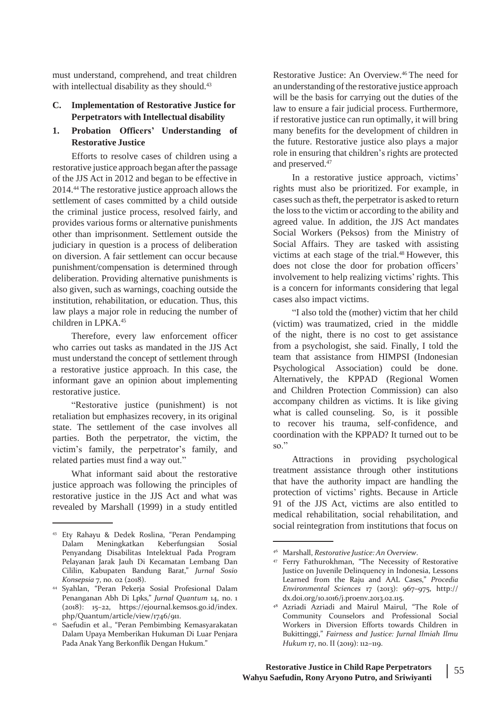must understand, comprehend, and treat children with intellectual disability as they should.<sup>43</sup>

## **C. Implementation of Restorative Justice for Perpetrators with Intellectual disability**

## **1. Probation Officers' Understanding of Restorative Justice**

Efforts to resolve cases of children using a restorative justice approach began after the passage of the JJS Act in 2012 and began to be effective in 2014.<sup>44</sup> The restorative justice approach allows the settlement of cases committed by a child outside the criminal justice process, resolved fairly, and provides various forms or alternative punishments other than imprisonment. Settlement outside the judiciary in question is a process of deliberation on diversion. A fair settlement can occur because punishment/compensation is determined through deliberation. Providing alternative punishments is also given, such as warnings, coaching outside the institution, rehabilitation, or education. Thus, this law plays a major role in reducing the number of children in LPKA.<sup>45</sup>

Therefore, every law enforcement officer who carries out tasks as mandated in the JJS Act must understand the concept of settlement through a restorative justice approach. In this case, the informant gave an opinion about implementing restorative justice.

"Restorative justice (punishment) is not retaliation but emphasizes recovery, in its original state. The settlement of the case involves all parties. Both the perpetrator, the victim, the victim's family, the perpetrator's family, and related parties must find a way out."

What informant said about the restorative justice approach was following the principles of restorative justice in the JJS Act and what was revealed by Marshall (1999) in a study entitled

Restorative Justice: An Overview.<sup>46</sup> The need for an understanding of the restorative justice approach will be the basis for carrying out the duties of the law to ensure a fair judicial process. Furthermore, if restorative justice can run optimally, it will bring many benefits for the development of children in the future. Restorative justice also plays a major role in ensuring that children's rights are protected and preserved.<sup>47</sup>

In a restorative justice approach, victims' rights must also be prioritized. For example, in cases such as theft, the perpetrator is asked to return the loss to the victim or according to the ability and agreed value. In addition, the JJS Act mandates Social Workers (Peksos) from the Ministry of Social Affairs. They are tasked with assisting victims at each stage of the trial.<sup>48</sup> However, this does not close the door for probation officers' involvement to help realizing victims' rights. This is a concern for informants considering that legal cases also impact victims.

"I also told the (mother) victim that her child (victim) was traumatized, cried in the middle of the night, there is no cost to get assistance from a psychologist, she said. Finally, I told the team that assistance from HIMPSI (Indonesian Psychological Association) could be done. Alternatively, the KPPAD (Regional Women and Children Protection Commission) can also accompany children as victims. It is like giving what is called counseling. So, is it possible to recover his trauma, self-confidence, and coordination with the KPPAD? It turned out to be so."

Attractions in providing psychological treatment assistance through other institutions that have the authority impact are handling the protection of victims' rights. Because in Article 91 of the JJS Act, victims are also entitled to medical rehabilitation, social rehabilitation, and social reintegration from institutions that focus on

<sup>43</sup> Ety Rahayu & Dedek Roslina, "Peran Pendamping Dalam Meningkatkan Keberfungsian Sosial Penyandang Disabilitas Intelektual Pada Program Pelayanan Jarak Jauh Di Kecamatan Lembang Dan Cililin, Kabupaten Bandung Barat," *Jurnal Sosio Konsepsia* 7, no. 02 (2018).

Syahlan, "Peran Pekerja Sosial Profesional Dalam 44 Penanganan Abh Di Lpks," *Jurnal Quantum* 14, no. 1 (2018): 15–22, https://ejournal.kemsos.go.id/index. php/Quantum/article/view/1746/911.

<sup>&</sup>lt;sup>45</sup> Saefudin et al., "Peran Pembimbing Kemasyarakatan Dalam Upaya Memberikan Hukuman Di Luar Penjara Pada Anak Yang Berkonflik Dengan Hukum."

<sup>46</sup> Marshall, *Restorative Justice: An Overview*.

<sup>47</sup> Ferry Fathurokhman, "The Necessity of Restorative Justice on Juvenile Delinquency in Indonesia, Lessons Learned from the Raju and AAL Cases," *Procedia Environmental Sciences* 17 (2013): 967–975, http:// dx.doi.org/10.1016/j.proenv.2013.02.115.

<sup>&</sup>lt;sup>48</sup> Azriadi Azriadi and Mairul Mairul, "The Role of Community Counselors and Professional Social Workers in Diversion Efforts towards Children in Bukittinggi," *Fairness and Justice: Jurnal Ilmiah Ilmu Hukum* 17, no. II (2019): 112-119.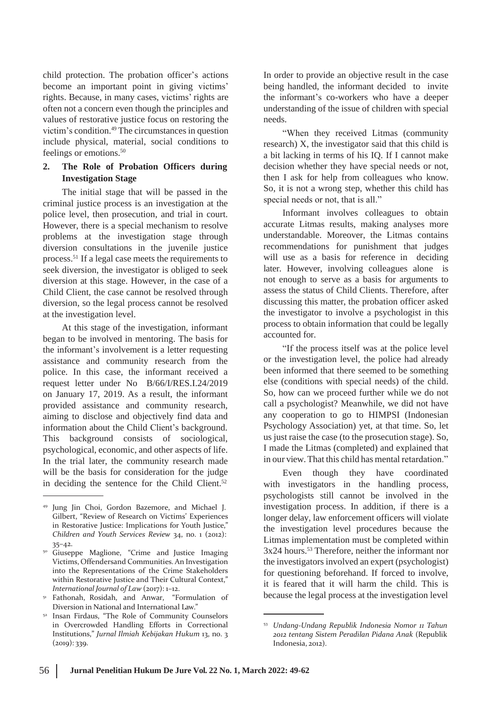child protection. The probation officer's actions become an important point in giving victims' rights. Because, in many cases, victims' rights are often not a concern even though the principles and values of restorative justice focus on restoring the victim's condition.<sup>49</sup> The circumstances in question include physical, material, social conditions to feelings or emotions.<sup>50</sup>

## **2. The Role of Probation Officers during Investigation Stage**

The initial stage that will be passed in the criminal justice process is an investigation at the police level, then prosecution, and trial in court. However, there is a special mechanism to resolve problems at the investigation stage through diversion consultations in the juvenile justice process.<sup>51</sup> If a legal case meets the requirements to seek diversion, the investigator is obliged to seek diversion at this stage. However, in the case of a Child Client, the case cannot be resolved through diversion, so the legal process cannot be resolved at the investigation level.

At this stage of the investigation, informant began to be involved in mentoring. The basis for the informant's involvement is a letter requesting assistance and community research from the police. In this case, the informant received a request letter under No B/66/I/RES.I.24/2019 on January 17, 2019. As a result, the informant provided assistance and community research, aiming to disclose and objectively find data and information about the Child Client's background. This background consists of sociological, psychological, economic, and other aspects of life. In the trial later, the community research made will be the basis for consideration for the judge in deciding the sentence for the Child Client. $52$ 

<sup>51</sup> Fathonah, Rosidah, and Anwar, "Formulation of Diversion in National and International Law."

In order to provide an objective result in the case being handled, the informant decided to invite the informant's co-workers who have a deeper understanding of the issue of children with special needs.

"When they received Litmas (community research) X, the investigator said that this child is a bit lacking in terms of his IQ. If I cannot make decision whether they have special needs or not, then I ask for help from colleagues who know. So, it is not a wrong step, whether this child has special needs or not, that is all."

Informant involves colleagues to obtain accurate Litmas results, making analyses more understandable. Moreover, the Litmas contains recommendations for punishment that judges will use as a basis for reference in deciding later. However, involving colleagues alone is not enough to serve as a basis for arguments to assess the status of Child Clients. Therefore, after discussing this matter, the probation officer asked the investigator to involve a psychologist in this process to obtain information that could be legally accounted for.

"If the process itself was at the police level or the investigation level, the police had already been informed that there seemed to be something else (conditions with special needs) of the child. So, how can we proceed further while we do not call a psychologist? Meanwhile, we did not have any cooperation to go to HIMPSI (Indonesian Psychology Association) yet, at that time. So, let us just raise the case (to the prosecution stage). So, I made the Litmas (completed) and explained that in our view.That this child has mental retardation."

Even though they have coordinated with investigators in the handling process, psychologists still cannot be involved in the investigation process. In addition, if there is a longer delay, law enforcement officers will violate the investigation level procedures because the Litmas implementation must be completed within 3x24 hours.<sup>53</sup> Therefore, neither the informant nor the investigators involved an expert (psychologist) for questioning beforehand. If forced to involve, it is feared that it will harm the child. This is because the legal process at the investigation level

<sup>49</sup> Jung Jin Choi, Gordon Bazemore, and Michael J. Gilbert, "Review of Research on Victims' Experiences in Restorative Justice: Implications for Youth Justice," *Children and Youth Services Review* 34, no. 1 (2012): 35–42.

<sup>&</sup>lt;sup>50</sup> Giuseppe Maglione, "Crime and Justice Imaging Victims, Offendersand Communities.An Investigation into the Representations of the Crime Stakeholders within Restorative Justice and Their Cultural Context," *International Journal of Law* (2017): 1–12.

Insan Firdaus, "The Role of Community Counselors in Overcrowded Handling Efforts in Correctional Institutions," *Jurnal Ilmiah Kebijakan Hukum* 13, no. 3  $(2019)$ : 339. 52

<sup>53</sup> *Undang-Undang Republik Indonesia Nomor 11 Tahun 2012 tentang Sistem Peradilan Pidana Anak* (Republik Indonesia, 2012).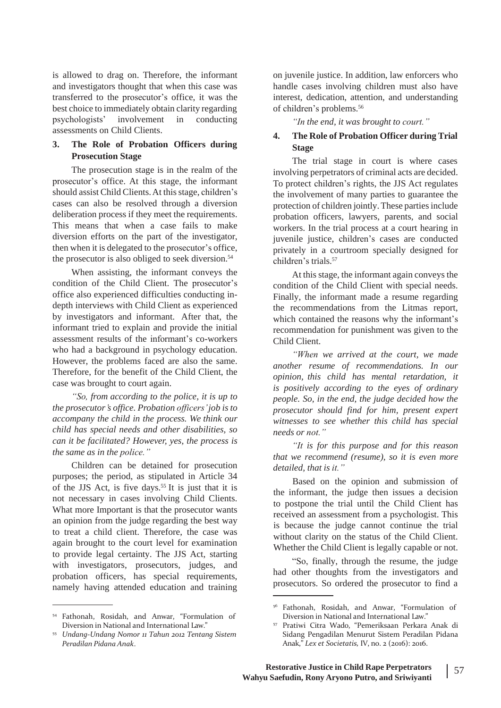is allowed to drag on. Therefore, the informant and investigators thought that when this case was transferred to the prosecutor's office, it was the best choice to immediately obtain clarity regarding psychologists' involvement in conducting "In the end, it was brought to court."<br>assessments on Child Clients.

### **3. The Role of Probation Officers during Prosecution Stage**

The prosecution stage is in the realm of the prosecutor's office. At this stage, the informant should assist Child Clients. At this stage, children's cases can also be resolved through a diversion deliberation process if they meet the requirements. This means that when a case fails to make diversion efforts on the part of the investigator, then when it is delegated to the prosecutor's office, the prosecutor is also obliged to seek diversion.<sup>54</sup>

When assisting, the informant conveys the condition of the Child Client. The prosecutor's office also experienced difficulties conducting indepth interviews with Child Client as experienced by investigators and informant. After that, the informant tried to explain and provide the initial assessment results of the informant's co-workers who had a background in psychology education. However, the problems faced are also the same. Therefore, for the benefit of the Child Client, the case was brought to court again.

*"So, from according to the police, it is up to the prosecutor's office. Probation officers'job is to accompany the child in the process. We think our child has special needs and other disabilities, so can it be facilitated? However, yes, the process is the same as in the police."*

Children can be detained for prosecution purposes; the period, as stipulated in Article 34 of the JJS Act, is five days.<sup>55</sup> It is just that it is not necessary in cases involving Child Clients. What more Important is that the prosecutor wants an opinion from the judge regarding the best way to treat a child client. Therefore, the case was again brought to the court level for examination to provide legal certainty. The JJS Act, starting with investigators, prosecutors, judges, and probation officers, has special requirements, namely having attended education and training

<sup>54</sup> Fathonah, Rosidah, and Anwar, "Formulation of Diversion in National and International Law."

on juvenile justice. In addition, law enforcers who handle cases involving children must also have interest, dedication, attention, and understanding of children's problems.<sup>56</sup>

## assessments on Child Clients. **4. The Role of Probation Officer during Trial Stage**

The trial stage in court is where cases involving perpetrators of criminal acts are decided. To protect children's rights, the JJS Act regulates the involvement of many parties to guarantee the protection of children jointly. These parties include probation officers, lawyers, parents, and social workers. In the trial process at a court hearing in juvenile justice, children's cases are conducted privately in a courtroom specially designed for children's trials.<sup>57</sup>

At this stage, the informant again conveys the condition of the Child Client with special needs. Finally, the informant made a resume regarding the recommendations from the Litmas report, which contained the reasons why the informant's recommendation for punishment was given to the Child Client.

*"When we arrived at the court, we made another resume of recommendations. In our opinion, this child has mental retardation, it is positively according to the eyes of ordinary people. So, in the end, the judge decided how the prosecutor should find for him, present expert witnesses to see whether this child has special needs or not."*

*"It is for this purpose and for this reason that we recommend (resume), so it is even more detailed, that is it."*

Based on the opinion and submission of the informant, the judge then issues a decision to postpone the trial until the Child Client has received an assessment from a psychologist. This is because the judge cannot continue the trial without clarity on the status of the Child Client. Whether the Child Client is legally capable or not.

"So, finally, through the resume, the judge had other thoughts from the investigators and prosecutors. So ordered the prosecutor to find a

*Undang-Undang Nomor 11 Tahun 2012 Tentang Sistem* 55 *Peradilan Pidana Anak*.

<sup>56</sup> Fathonah, Rosidah, and Anwar, "Formulation of Diversion in National and International Law."

Pratiwi Citra Wado, "Pemeriksaan Perkara Anak di Sidang Pengadilan Menurut Sistem Peradilan Pidana Anak," *Lex et Societatis,* IV, no. 2 (2016): 2016. 57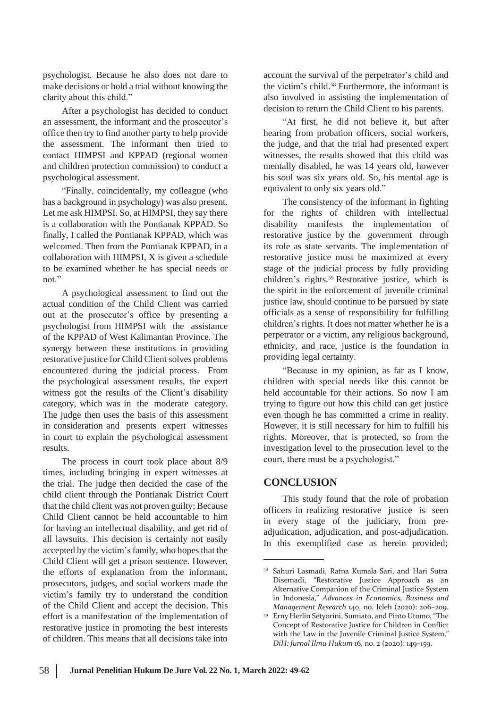psychologist. Because he also does not dare to make decisions or hold a trial without knowing the clarity about this child."

After a psychologist has decided to conduct an assessment, the informant and the prosecutor's office then try to find another party to help provide the assessment. The informant then tried to contact HIMPSI and KPPAD (regional women and children protection commission) to conduct a psychological assessment.

"Finally, coincidentally, my colleague (who has a background in psychology) was also present. Let me ask HIMPSI. So, at HIMPSI, they say there is a collaboration with the Pontianak KPPAD. So finally, I called the Pontianak KPPAD, which was welcomed. Then from the Pontianak KPPAD, in a collaboration with HIMPSI, X is given a schedule to be examined whether he has special needs or not."

A psychological assessment to find out the actual condition of the Child Client was carried out at the prosecutor's office by presenting a psychologist from HIMPSI with the assistance of the KPPAD of West Kalimantan Province. The synergy between these institutions in providing restorative justice for Child Client solves problems encountered during the judicial process. From the psychological assessment results, the expert witness got the results of the Client's disability category, which was in the moderate category. The judge then uses the basis of this assessment in consideration and presents expert witnesses in court to explain the psychological assessment results.

The process in court took place about 8/9 times, including bringing in expert witnesses at the trial. The judge then decided the case of the child client through the Pontianak District Court that the child client was not proven guilty; Because Child Client cannot be held accountable to him for having an intellectual disability, and get rid of all lawsuits. This decision is certainly not easily accepted by the victim's family, who hopes that the Child Client will get a prison sentence. However, the efforts of explanation from the informant, prosecutors, judges, and social workers made the victim's family try to understand the condition of the Child Client and accept the decision. This effort is a manifestation of the implementation of restorative justice in promoting the best interests of children. This means that all decisions take into

account the survival of the perpetrator's child and the victim's child.<sup>58</sup> Furthermore, the informant is also involved in assisting the implementation of decision to return the Child Client to his parents.

"At first, he did not believe it, but after hearing from probation officers, social workers, the judge, and that the trial had presented expert witnesses, the results showed that this child was mentally disabled, he was 14 years old, however his soul was six years old. So, his mental age is equivalent to only six years old."

The consistency of the informant in fighting for the rights of children with intellectual disability manifests the implementation of restorative justice by the government through its role as state servants. The implementation of restorative justice must be maximized at every stage of the judicial process by fully providing children's rights.<sup>59</sup> Restorative justice, which is the spirit in the enforcement of juvenile criminal justice law, should continue to be pursued by state officials as a sense of responsibility for fulfilling children's rights. It does not matter whether he is a perpetrator or a victim, any religious background, ethnicity, and race, justice is the foundation in providing legal certainty.

"Because in my opinion, as far as I know, children with special needs like this cannot be held accountable for their actions. So now I am trying to figure out how this child can get justice even though he has committed a crime in reality. However, it is still necessary for him to fulfill his rights. Moreover, that is protected, so from the investigation level to the prosecution level to the court, there must be a psychologist."

## **CONCLUSION**

This study found that the role of probation officers in realizing restorative justice is seen in every stage of the judiciary, from preadjudication, adjudication, and post-adjudication. In this exemplified case as herein provided;

<sup>58</sup> Sahuri Lasmadi, Ratna Kumala Sari, and Hari Sutra Disemadi, "Restorative Justice Approach as an Alternative Companion of the Criminal Justice System in Indonesia," *Advances in Economics, Business and Management Research* 140, no. Icleh (2020): 206–209.

Erny Herlin Setyorini, Sumiato, and Pinto Utomo, "The 59 Concept of Restorative Justice for Children in Conflict with the Law in the Juvenile Criminal Justice System," *DiH: Jurnal Ilmu Hukum* 16, no. 2 (2020): 149–159.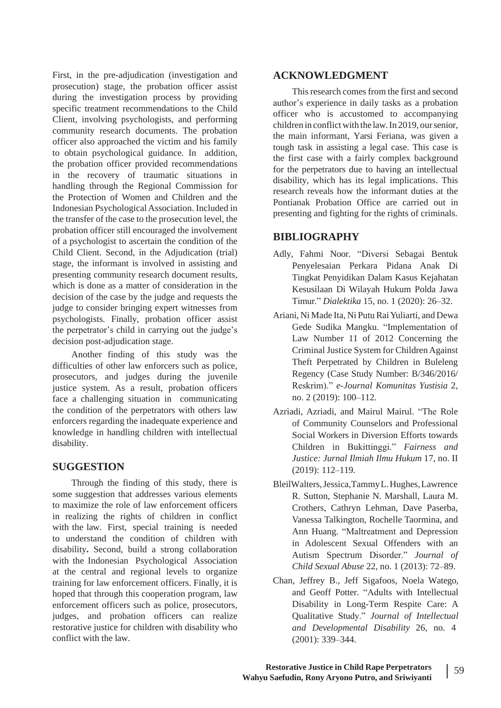First, in the pre-adjudication (investigation and prosecution) stage, the probation officer assist during the investigation process by providing specific treatment recommendations to the Child Client, involving psychologists, and performing community research documents. The probation officer also approached the victim and his family to obtain psychological guidance. In addition, the probation officer provided recommendations in the recovery of traumatic situations in handling through the Regional Commission for the Protection of Women and Children and the Indonesian Psychological Association. Included in the transfer of the case to the prosecution level, the probation officer still encouraged the involvement of a psychologist to ascertain the condition of the Child Client. Second, in the Adjudication (trial) stage, the informant is involved in assisting and presenting community research document results, which is done as a matter of consideration in the decision of the case by the judge and requests the judge to consider bringing expert witnesses from psychologists. Finally, probation officer assist the perpetrator's child in carrying out the judge's decision post-adjudication stage.

Another finding of this study was the difficulties of other law enforcers such as police, prosecutors, and judges during the juvenile justice system. As a result, probation officers face a challenging situation in communicating the condition of the perpetrators with others law enforcers regarding the inadequate experience and knowledge in handling children with intellectual disability.

# **SUGGESTION**

Through the finding of this study, there is some suggestion that addresses various elements to maximize the role of law enforcement officers in realizing the rights of children in conflict with the law. First, special training is needed to understand the condition of children with disability**.** Second, build a strong collaboration with the Indonesian Psychological Association at the central and regional levels to organize training for law enforcement officers. Finally, it is hoped that through this cooperation program, law enforcement officers such as police, prosecutors, judges, and probation officers can realize restorative justice for children with disability who conflict with the law.

# **ACKNOWLEDGMENT**

This research comes from the first and second author's experience in daily tasks as a probation officer who is accustomed to accompanying children in conflictwith the law.In 2019, oursenior, the main informant, Yarsi Feriana, was given a tough task in assisting a legal case. This case is the first case with a fairly complex background for the perpetrators due to having an intellectual disability, which has its legal implications. This research reveals how the informant duties at the Pontianak Probation Office are carried out in presenting and fighting for the rights of criminals.

# **BIBLIOGRAPHY**

- Adly, Fahmi Noor. "Diversi Sebagai Bentuk Penyelesaian Perkara Pidana Anak Di Tingkat Penyidikan Dalam Kasus Kejahatan Kesusilaan Di Wilayah Hukum Polda Jawa Timur." *Dialektika* 15, no. 1 (2020): 26–32.
- Ariani, Ni Made Ita, Ni Putu Rai Yuliarti, and Dewa Gede Sudika Mangku. "Implementation of Law Number 11 of 2012 Concerning the Criminal Justice System for Children Against Theft Perpetrated by Children in Buleleng Regency (Case Study Number: B/346/2016/ Reskrim)." *e-Journal Komunitas Yustisia* 2, no. 2 (2019): 100–112.
- Azriadi, Azriadi, and Mairul Mairul. "The Role of Community Counselors and Professional Social Workers in Diversion Efforts towards Children in Bukittinggi." *Fairness and Justice: Jurnal Ilmiah Ilmu Hukum* 17, no. II (2019): 112–119.
- BleilWalters,Jessica,TammyL.Hughes,Lawrence R. Sutton, Stephanie N. Marshall, Laura M. Crothers, Cathryn Lehman, Dave Paserba, Vanessa Talkington, Rochelle Taormina, and Ann Huang. "Maltreatment and Depression in Adolescent Sexual Offenders with an Autism Spectrum Disorder." *Journal of Child Sexual Abuse* 22, no. 1 (2013): 72–89.
- Chan, Jeffrey B., Jeff Sigafoos, Noela Watego, and Geoff Potter. "Adults with Intellectual Disability in Long-Term Respite Care: A Qualitative Study." *Journal of Intellectual and Developmental Disability* 26, no. 4 (2001): 339–344.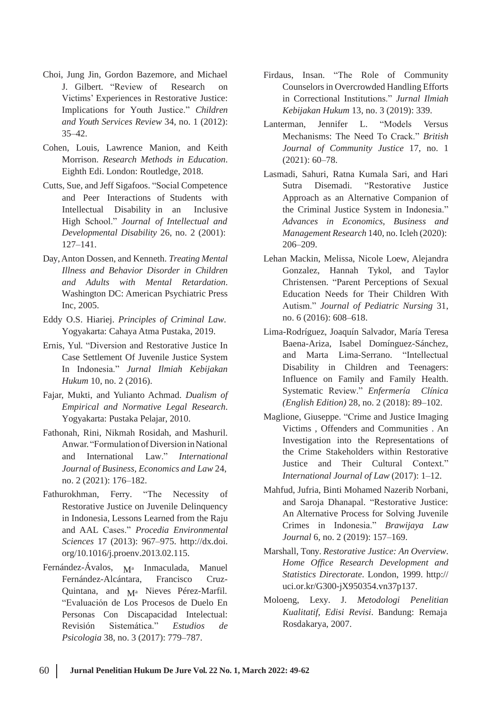- Choi, Jung Jin, Gordon Bazemore, and Michael J. Gilbert. "Review of Research on Victims' Experiences in Restorative Justice: Implications for Youth Justice." *Children and Youth Services Review* 34, no. 1 (2012): 35–42.
- Cohen, Louis, Lawrence Manion, and Keith Morrison. *Research Methods in Education*. Eighth Edi. London: Routledge, 2018.
- Cutts, Sue, and Jeff Sigafoos. "Social Competence and Peer Interactions of Students with Intellectual Disability in an High School." *Journal of Intellectual and* Inclusive *Developmental Disability* 26, no. 2 (2001): 127–141.
- Day,Anton Dossen, and Kenneth. *Treating Mental Illness and Behavior Disorder in Children and Adults with Mental Retardation*. Washington DC: American Psychiatric Press Inc, 2005.
- Eddy O.S. Hiariej. *Principles of Criminal Law*. Yogyakarta: Cahaya Atma Pustaka, 2019.
- Ernis, Yul. "Diversion and Restorative Justice In Case Settlement Of Juvenile Justice System In Indonesia." *Jurnal Ilmiah Kebijakan Hukum* 10, no. 2 (2016).
- Fajar, Mukti, and Yulianto Achmad. *Dualism of Empirical and Normative Legal Research*. Yogyakarta: Pustaka Pelajar, 2010.
- Fathonah, Rini, Nikmah Rosidah, and Mashuril. Anwar. "FormulationofDiversioninNational Justice and Their Cultural Context." *Journal of Business, Economics and Law* 24, no. 2 (2021): 176–182. *International Journal of Law* (2017): 1–12.
- Fathurokhman, Ferry. "The Necessity of Restorative Justice on Juvenile Delinquency in Indonesia, Lessons Learned from the Raju and AAL Cases." *Procedia Environmental Sciences* 17 (2013): 967–975. [http://dx.doi.](http://dx.doi/) org/10.1016/j.proenv.2013.02.115.
- Fernández-Ávalos, M<sup>a</sup> Inmaculada, Francisco Manuel Fernández-Alcántara, Francisco Cruz-Quintana, and  $M^a$  Nieves Pérez-Marfil.<br>"Evaluación de Los Procesos de Duelo En Personas Con Discapacidad Intelectual: Revisión Sistemática." *Estudios de* Rosdakarya, 2007. *Psicologia* 38, no. 3 (2017): 779–787.
- Firdaus, Insan. "The Role of Community Counselors in Overcrowded Handling Efforts in Correctional Institutions." *Jurnal Ilmiah Kebijakan Hukum* 13, no. 3 (2019): 339.
- Lanterman, Jennifer L. "Models Versus Mechanisms: The Need To Crack." *British Journal of Community Justice* 17, no. 1 (2021): 60–78.
- Lasmadi, Sahuri, Ratna Kumala Sari, and Hari Sutra Disemadi. "Restorative Justice Approach as an Alternative Companion of the Criminal Justice System in Indonesia." *Advances in Economics, Business and Management Research* 140, no. Icleh (2020): 206–209.
- Lehan Mackin, Melissa, Nicole Loew, Alejandra Gonzalez, Hannah Tykol, and Taylor Christensen. "Parent Perceptions of Sexual Education Needs for Their Children With Autism." *Journal of Pediatric Nursing* 31, no. 6 (2016): 608–618.
- Lima-Rodríguez, Joaquín Salvador, María Teresa Baena-Ariza, Isabel Domínguez-Sánchez, and Marta Lima-Serrano. "Intellectual Disability in Children and Teenagers: Influence on Family and Family Health. Systematic Review." *Enfermería Clínica (English Edition)* 28, no. 2 (2018): 89–102.
- Maglione, Giuseppe. "Crime and Justice Imaging Victims , Offenders and Communities . An Investigation into the Representations of and International Law." *International* the Crime Stakeholders within Restorative<br>
Justice and Their Cultural Context."
	- Mahfud, Jufria, Binti Mohamed Nazerib Norbani, and Saroja Dhanapal. "Restorative Justice: An Alternative Process for Solving Juvenile Crimes in Indonesia." *Brawijaya Law Journal* 6, no. 2 (2019): 157–169.
	- Marshall, Tony. *Restorative Justice: An Overview*. *Home Office Research Development and Statistics Directorate*. London, 1999. http:// uci.or.kr/G300-jX950354.vn37p137.
	- Moloeng, Lexy. J. *Metodologi Penelitian*<br>Kualitatif, Edisi Revisi. Bandung: Remaja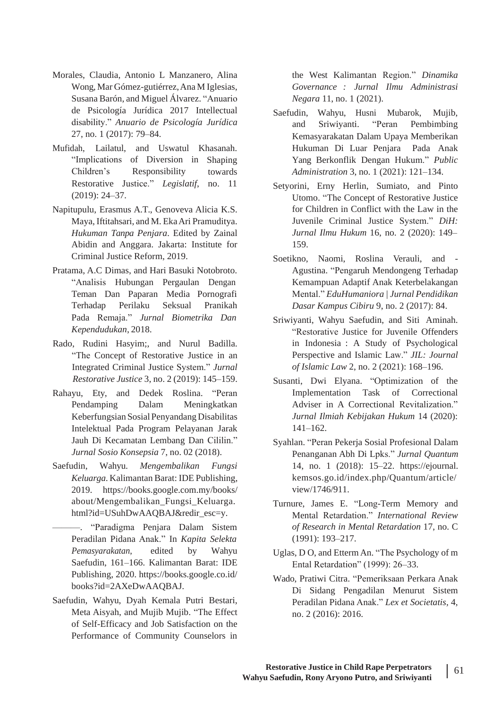- Morales, Claudia, Antonio L Manzanero, Alina Wong, Mar Gómez-gutiérrez,Ana M Iglesias, Susana Barón, and Miguel Álvarez. "Anuario de Psicología Jurídica 2017 Intellectual disability." *Anuario de Psicología Jurídica* 27, no. 1 (2017): 79–84.
- Mufidah, Lailatul, and Uswatul Khasanah. "Implications of Diversion in Shaping towards Restorative Justice." *Legislatif*, no. 11 Children's Responsibility (2019): 24–37.
- Napitupulu, Erasmus A.T., Genoveva Alicia K.S. Maya, Iftitahsari, and M. EkaAri Pramuditya. *Hukuman Tanpa Penjara*. Edited by Zainal Abidin and Anggara. Jakarta: Institute for Criminal Justice Reform, 2019.
- Pratama, A.C Dimas, and Hari Basuki Notobroto. "Analisis Hubungan Pergaulan Dengan Teman Dan Paparan Media Pornografi Terhadap Perilaku Seksual Pranikah Pada Remaja." *Jurnal Biometrika Dan Kependudukan*, 2018.
- Rado, Rudini Hasyim;, and Nurul Badilla. "The Concept of Restorative Justice in an Integrated Criminal Justice System." *Jurnal Restorative Justice* 3, no. 2 (2019): 145–159.
- Keberfungsian Sosial Penyandang Disabilitas Intelektual Pada Program Pelayanan Jarak Jauh Di Kecamatan Lembang Dan Cililin." *Jurnal Sosio Konsepsia* 7, no. 02 (2018).
- Saefudin, Wahyu. *Mengembalikan Fungsi Keluarga*. Kalimantan Barat: IDE Publishing, 2019. https://books.google.com.my/books/ about/Mengembalikan\_Fungsi\_Keluarga. html?id=USuhDwAAQBAJ&redir\_esc=y.
- ———. "Paradigma Penjara Dalam Sistem Peradilan Pidana Anak." In *Kapita Selekta Pemasyarakatan*, edited by Wahyu Saefudin, 161–166. Kalimantan Barat: IDE Publishing, 2020. https://books.google.co.id/ books?id=2AXeDwAAQBAJ.
- Saefudin, Wahyu, Dyah Kemala Putri Bestari, Meta Aisyah, and Mujib Mujib. "The Effect of Self-Efficacy and Job Satisfaction on the Performance of Community Counselors in

the West Kalimantan Region." *Dinamika Governance : Jurnal Ilmu Administrasi Negara* 11, no. 1 (2021).

- Saefudin, Wahyu, Husni Mubarok, Mujib, and Sriwiyanti. "Peran Pembimbing Kemasyarakatan Dalam Upaya Memberikan Hukuman Di Luar Penjara Pada Anak Yang Berkonflik Dengan Hukum." *Public Administration* 3, no. 1 (2021): 121–134.
- Setyorini, Erny Herlin, Sumiato, and Pinto Utomo. "The Concept of Restorative Justice for Children in Conflict with the Law in the Juvenile Criminal Justice System." *DiH: Jurnal Ilmu Hukum* 16, no. 2 (2020): 149– 159.
- Soetikno, Naomi, Roslina Verauli, and Agustina. "Pengaruh Mendongeng Terhadap Kemampuan Adaptif Anak Keterbelakangan Mental." *EduHumaniora | Jurnal Pendidikan Dasar Kampus Cibiru* 9, no. 2 (2017): 84.
- Sriwiyanti, Wahyu Saefudin, and Siti Aminah. "Restorative Justice for Juvenile Offenders in Indonesia : A Study of Psychological Perspective and Islamic Law." *JIL: Journal of Islamic Law* 2, no. 2 (2021): 168–196.
- Susanti, Dwi Elyana. "Optimization of the Rahayu, Ety, and Dedek Roslina. "Peran Implementation Task of Correctional Pendamping Dalam Meningkatkan Adviser in A Correctional Revitalization." *Jurnal Ilmiah Kebijakan Hukum* 14 (2020): 141–162.
	- Syahlan. "Peran Pekerja Sosial Profesional Dalam Penanganan Abh Di Lpks." *Jurnal Quantum* 14, no. 1 (2018): 15–22. https://ejournal. kemsos.go.id/index.php/Quantum/article/ view/1746/911.
	- Turnure, James E. "Long-Term Memory and Mental Retardation." *International Review of Research in Mental Retardation* 17, no. C (1991): 193–217.
	- Uglas, D O, and EttermAn. "The Psychology of m Ental Retardation" (1999): 26–33.
	- Wado, Pratiwi Citra. "Pemeriksaan Perkara Anak Di Sidang Pengadilan Menurut Sistem Peradilan Pidana Anak." *Lex et Societatis,* 4, no. 2 (2016): 2016.